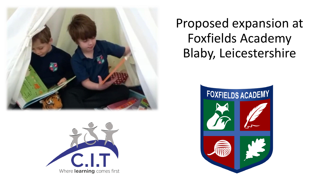



Proposed expansion at Foxfields Academy Blaby, Leicestershire

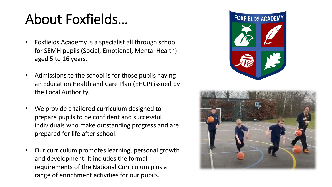# About Foxfields…

- Foxfields Academy is a specialist all through school for SEMH pupils (Social, Emotional, Mental Health) aged 5 to 16 years.
- Admissions to the school is for those pupils having an Education Health and Care Plan (EHCP) issued by the Local Authority.
- We provide a tailored curriculum designed to prepare pupils to be confident and successful individuals who make outstanding progress and are prepared for life after school.
- Our curriculum promotes learning, personal growth and development. It includes the formal requirements of the National Curriculum plus a range of enrichment activities for our pupils.



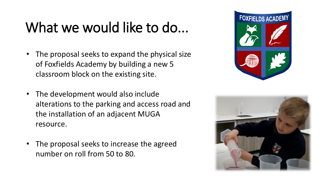## What we would like to do...

- The proposal seeks to expand the physical size of Foxfields Academy by building a new 5 classroom block on the existing site.
- The development would also include alterations to the parking and access road and the installation of an adjacent MUGA resource.
- The proposal seeks to increase the agreed number on roll from 50 to 80.



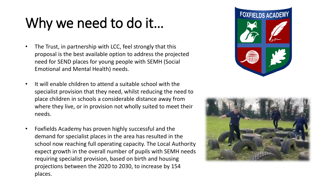# Why we need to do it…

- The Trust, in partnership with LCC, feel strongly that this proposal is the best available option to address the projected need for SEND places for young people with SEMH (Social Emotional and Mental Health) needs.
- It will enable children to attend a suitable school with the specialist provision that they need, whilst reducing the need to place children in schools a considerable distance away from where they live, or in provision not wholly suited to meet their needs.
- Foxfields Academy has proven highly successful and the demand for specialist places in the area has resulted in the school now reaching full operating capacity. The Local Authority expect growth in the overall number of pupils with SEMH needs requiring specialist provision, based on birth and housing projections between the 2020 to 2030, to increase by 154 places.



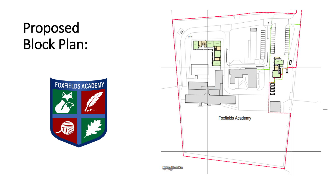## Proposed Block Plan:



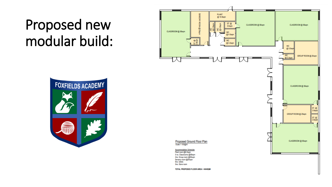## Proposed new modular build: